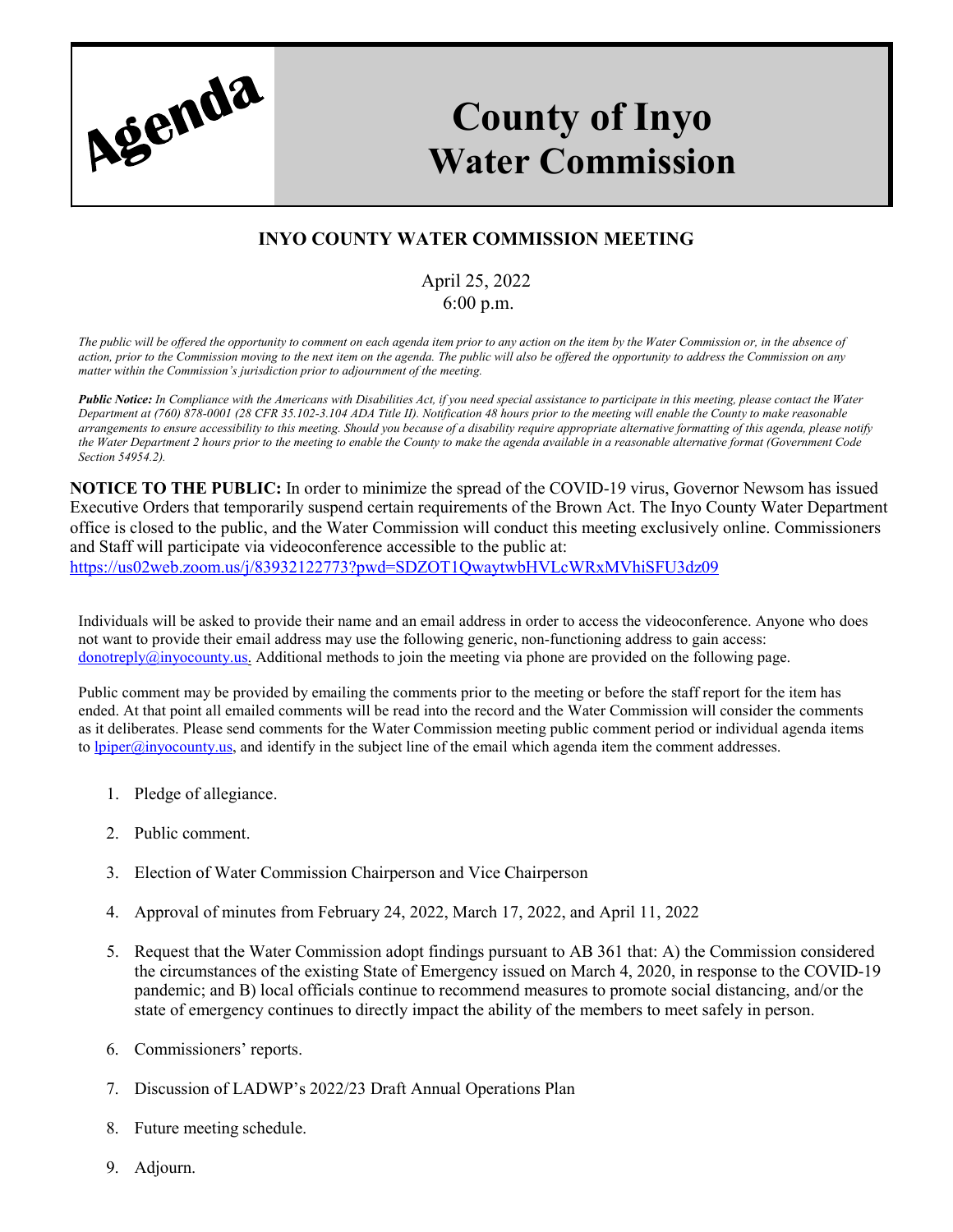

## **County of Inyo Water Commission**

## **INYO COUNTY WATER COMMISSION MEETING**

## April 25, 2022 6:00 p.m.

*The public will be offered the opportunity to comment on each agenda item prior to any action on the item by the Water Commission or, in the absence of action, prior to the Commission moving to the next item on the agenda. The public will also be offered the opportunity to address the Commission on any matter within the Commission's jurisdiction prior to adjournment of the meeting.*

*Public Notice: In Compliance with the Americans with Disabilities Act, if you need special assistance to participate in this meeting, please contact the Water Department at (760) 878-0001 (28 CFR 35.102-3.104 ADA Title II). Notification 48 hours prior to the meeting will enable the County to make reasonable arrangements to ensure accessibility to this meeting. Should you because of a disability require appropriate alternative formatting of this agenda, please notify the Water Department 2 hours prior to the meeting to enable the County to make the agenda available in a reasonable alternative format (Government Code Section 54954.2).*

**NOTICE TO THE PUBLIC:** In order to minimize the spread of the COVID-19 virus, Governor Newsom has issued Executive Orders that temporarily suspend certain requirements of the Brown Act. The Inyo County Water Department office is closed to the public, and the Water Commission will conduct this meeting exclusively online. Commissioners and Staff will participate via videoconference accessible to the public at: <https://us02web.zoom.us/j/83932122773?pwd=SDZOT1QwaytwbHVLcWRxMVhiSFU3dz09>

Individuals will be asked to provide their name and an email address in order to access the videoconference. Anyone who does not want to provide their email address may use the following generic, non-functioning address to gain access: donotreply $@$ inyocounty.us. Additional methods to join the meeting via phone are provided on the following page.

Public comment may be provided by emailing the comments prior to the meeting or before the staff report for the item has ended. At that point all emailed comments will be read into the record and the Water Commission will consider the comments as it deliberates. Please send comments for the Water Commission meeting public comment period or individual agenda items t[o lpiper@inyocounty.us, a](mailto:lpiper@inyocounty.us)nd identify in the subject line of the email which agenda item the comment addresses.

- 1. Pledge of allegiance.
- 2. Public comment.
- 3. Election of Water Commission Chairperson and Vice Chairperson
- 4. Approval of minutes from February 24, 2022, March 17, 2022, and April 11, 2022
- 5. Request that the Water Commission adopt findings pursuant to AB 361 that: A) the Commission considered the circumstances of the existing State of Emergency issued on March 4, 2020, in response to the COVID-19 pandemic; and B) local officials continue to recommend measures to promote social distancing, and/or the state of emergency continues to directly impact the ability of the members to meet safely in person.
- 6. Commissioners' reports.
- 7. Discussion of LADWP's 2022/23 Draft Annual Operations Plan
- 8. Future meeting schedule.
- 9. Adjourn.